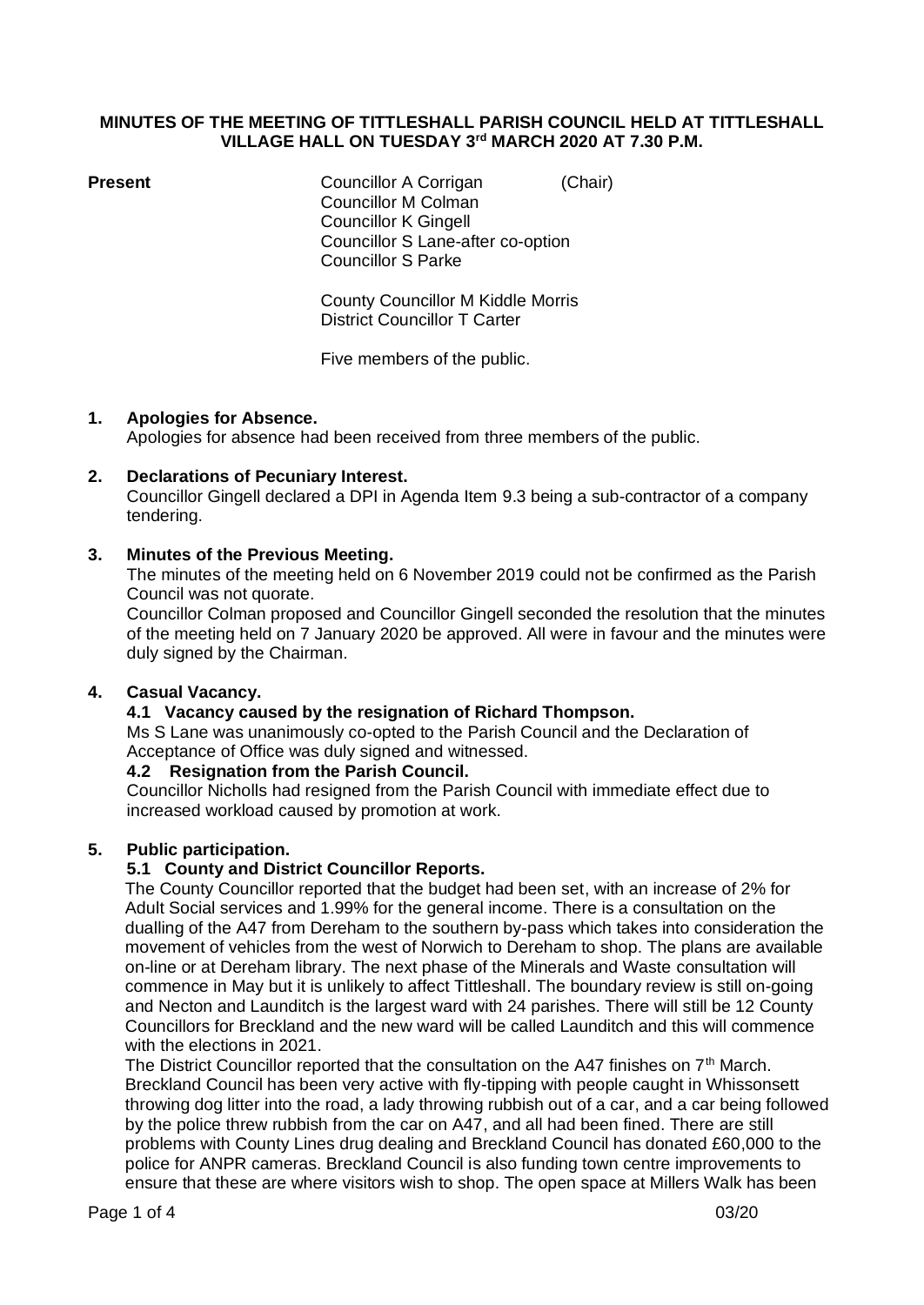#### **MINUTES OF THE MEETING OF TITTLESHALL PARISH COUNCIL HELD AT TITTLESHALL VILLAGE HALL ON TUESDAY 3 rd MARCH 2020 AT 7.30 P.M.**

**Present** Councillor A Corrigan (Chair) Councillor M Colman Councillor K Gingell Councillor S Lane-after co-option Councillor S Parke

> County Councillor M Kiddle Morris District Councillor T Carter

Five members of the public.

## **1. Apologies for Absence.**

Apologies for absence had been received from three members of the public.

## **2. Declarations of Pecuniary Interest.**

Councillor Gingell declared a DPI in Agenda Item 9.3 being a sub-contractor of a company tendering.

## **3. Minutes of the Previous Meeting.**

The minutes of the meeting held on 6 November 2019 could not be confirmed as the Parish Council was not quorate.

Councillor Colman proposed and Councillor Gingell seconded the resolution that the minutes of the meeting held on 7 January 2020 be approved. All were in favour and the minutes were duly signed by the Chairman.

## **4. Casual Vacancy.**

## **4.1 Vacancy caused by the resignation of Richard Thompson.**

Ms S Lane was unanimously co-opted to the Parish Council and the Declaration of Acceptance of Office was duly signed and witnessed.

#### **4.2 Resignation from the Parish Council.**

Councillor Nicholls had resigned from the Parish Council with immediate effect due to increased workload caused by promotion at work.

## **5. Public participation.**

## **5.1 County and District Councillor Reports.**

The County Councillor reported that the budget had been set, with an increase of 2% for Adult Social services and 1.99% for the general income. There is a consultation on the dualling of the A47 from Dereham to the southern by-pass which takes into consideration the movement of vehicles from the west of Norwich to Dereham to shop. The plans are available on-line or at Dereham library. The next phase of the Minerals and Waste consultation will commence in May but it is unlikely to affect Tittleshall. The boundary review is still on-going and Necton and Launditch is the largest ward with 24 parishes. There will still be 12 County Councillors for Breckland and the new ward will be called Launditch and this will commence with the elections in 2021.

The District Councillor reported that the consultation on the A47 finishes on  $7<sup>th</sup>$  March. Breckland Council has been very active with fly-tipping with people caught in Whissonsett throwing dog litter into the road, a lady throwing rubbish out of a car, and a car being followed by the police threw rubbish from the car on A47, and all had been fined. There are still problems with County Lines drug dealing and Breckland Council has donated £60,000 to the police for ANPR cameras. Breckland Council is also funding town centre improvements to ensure that these are where visitors wish to shop. The open space at Millers Walk has been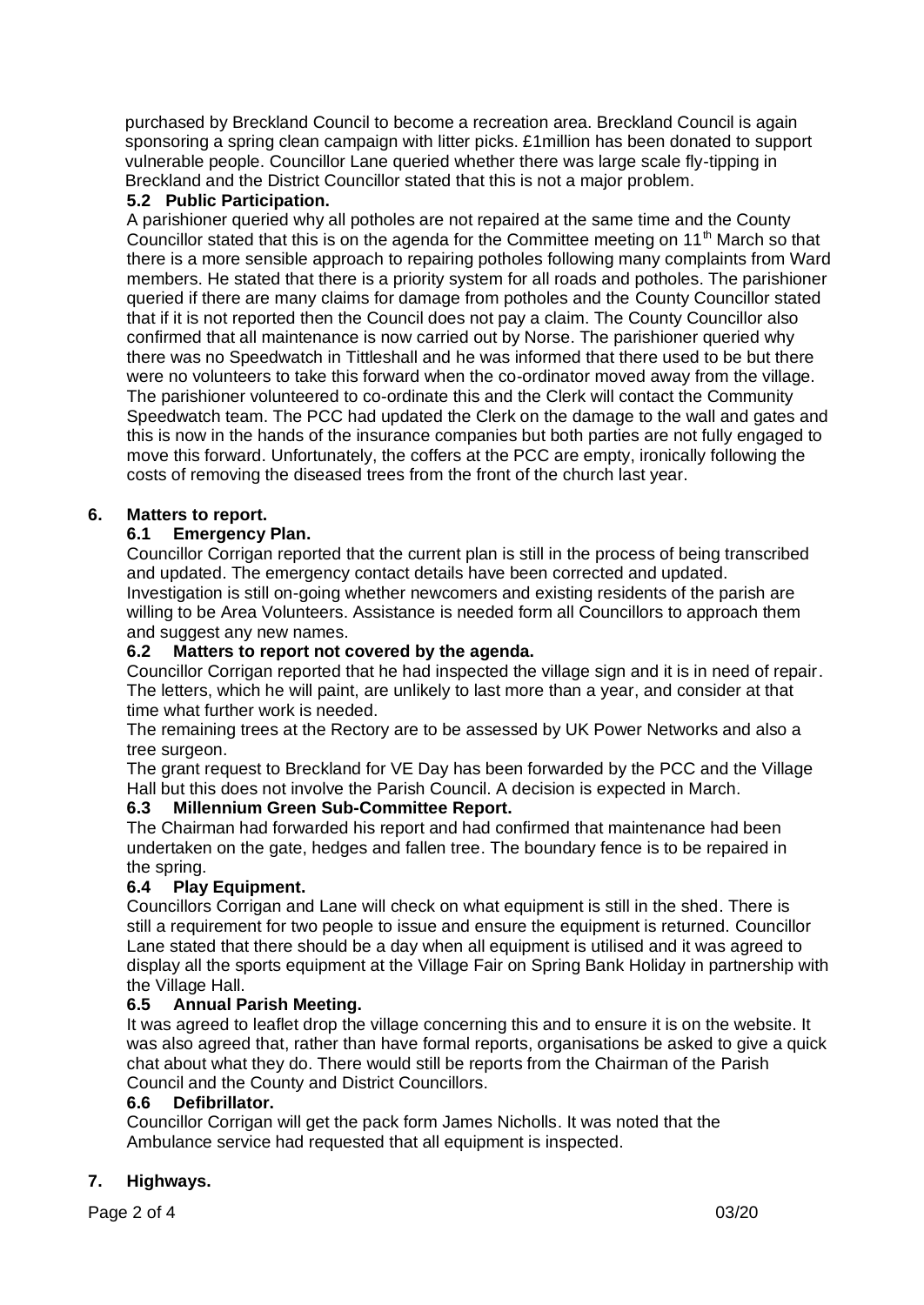purchased by Breckland Council to become a recreation area. Breckland Council is again sponsoring a spring clean campaign with litter picks. £1million has been donated to support vulnerable people. Councillor Lane queried whether there was large scale fly-tipping in Breckland and the District Councillor stated that this is not a major problem.

## **5.2 Public Participation.**

A parishioner queried why all potholes are not repaired at the same time and the County Councillor stated that this is on the agenda for the Committee meeting on 11<sup>th</sup> March so that there is a more sensible approach to repairing potholes following many complaints from Ward members. He stated that there is a priority system for all roads and potholes. The parishioner queried if there are many claims for damage from potholes and the County Councillor stated that if it is not reported then the Council does not pay a claim. The County Councillor also confirmed that all maintenance is now carried out by Norse. The parishioner queried why there was no Speedwatch in Tittleshall and he was informed that there used to be but there were no volunteers to take this forward when the co-ordinator moved away from the village. The parishioner volunteered to co-ordinate this and the Clerk will contact the Community Speedwatch team. The PCC had updated the Clerk on the damage to the wall and gates and this is now in the hands of the insurance companies but both parties are not fully engaged to move this forward. Unfortunately, the coffers at the PCC are empty, ironically following the costs of removing the diseased trees from the front of the church last year.

## **6. Matters to report.**

## **6.1 Emergency Plan.**

Councillor Corrigan reported that the current plan is still in the process of being transcribed and updated. The emergency contact details have been corrected and updated. Investigation is still on-going whether newcomers and existing residents of the parish are willing to be Area Volunteers. Assistance is needed form all Councillors to approach them and suggest any new names.

## **6.2 Matters to report not covered by the agenda.**

Councillor Corrigan reported that he had inspected the village sign and it is in need of repair. The letters, which he will paint, are unlikely to last more than a year, and consider at that time what further work is needed.

The remaining trees at the Rectory are to be assessed by UK Power Networks and also a tree surgeon.

The grant request to Breckland for VE Day has been forwarded by the PCC and the Village Hall but this does not involve the Parish Council. A decision is expected in March.

## **6.3 Millennium Green Sub-Committee Report.**

The Chairman had forwarded his report and had confirmed that maintenance had been undertaken on the gate, hedges and fallen tree. The boundary fence is to be repaired in the spring.

## **6.4 Play Equipment.**

Councillors Corrigan and Lane will check on what equipment is still in the shed. There is still a requirement for two people to issue and ensure the equipment is returned. Councillor Lane stated that there should be a day when all equipment is utilised and it was agreed to display all the sports equipment at the Village Fair on Spring Bank Holiday in partnership with the Village Hall.

## **6.5 Annual Parish Meeting.**

It was agreed to leaflet drop the village concerning this and to ensure it is on the website. It was also agreed that, rather than have formal reports, organisations be asked to give a quick chat about what they do. There would still be reports from the Chairman of the Parish Council and the County and District Councillors.

## **6.6 Defibrillator.**

Councillor Corrigan will get the pack form James Nicholls. It was noted that the Ambulance service had requested that all equipment is inspected.

## **7. Highways.**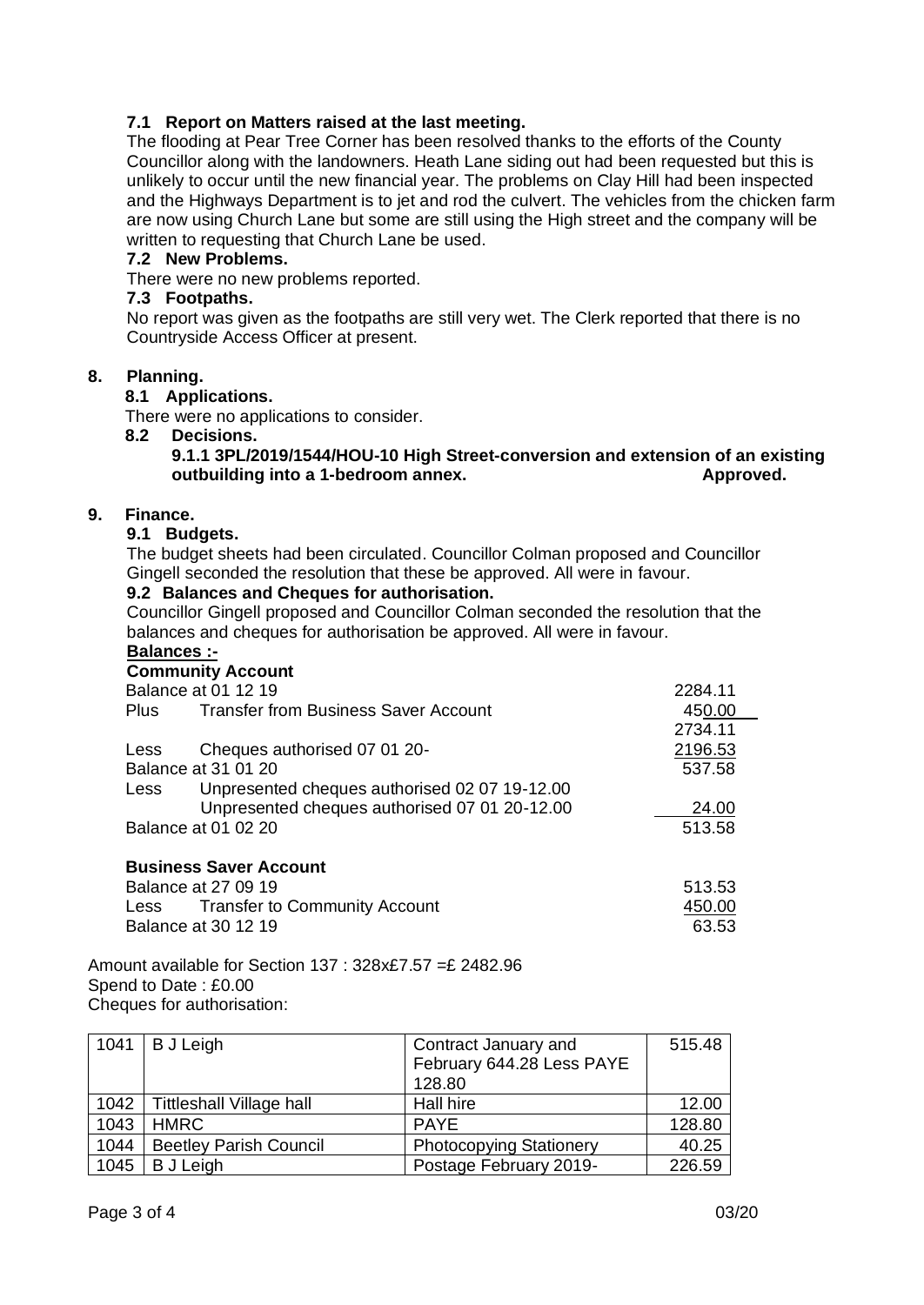## **7.1 Report on Matters raised at the last meeting.**

The flooding at Pear Tree Corner has been resolved thanks to the efforts of the County Councillor along with the landowners. Heath Lane siding out had been requested but this is unlikely to occur until the new financial year. The problems on Clay Hill had been inspected and the Highways Department is to jet and rod the culvert. The vehicles from the chicken farm are now using Church Lane but some are still using the High street and the company will be written to requesting that Church Lane be used.

#### **7.2 New Problems.**

There were no new problems reported.

#### **7.3 Footpaths.**

No report was given as the footpaths are still very wet. The Clerk reported that there is no Countryside Access Officer at present.

#### **8. Planning.**

#### **8.1 Applications.**

There were no applications to consider.

#### **8.2 Decisions.**

#### **9.1.1 3PL/2019/1544/HOU-10 High Street-conversion and extension of an existing outbuilding into a 1-bedroom annex.** Approved.

#### **9. Finance.**

#### **9.1 Budgets.**

The budget sheets had been circulated. Councillor Colman proposed and Councillor Gingell seconded the resolution that these be approved. All were in favour.

#### **9.2 Balances and Cheques for authorisation.**

Councillor Gingell proposed and Councillor Colman seconded the resolution that the balances and cheques for authorisation be approved. All were in favour.

## **Balances :-**

# **Community Account** Balance at 01 12 19 2284.11 Plus Transfer from Business Saver Account 450.00 2734.11 Less Cheques authorised 07 01 20-<br>
2196.53 Balance at 31 01 20 537.58 Less Unpresented cheques authorised 02 07 19-12.00 Unpresented cheques authorised 07 01 20-12.00 24.00 Balance at 01 02 20 513.58  **Business Saver Account** Balance at 27 09 19 513.53 Less Transfer to Community Account 150.00 Balance at 30 12 19 **63.53**

Amount available for Section 137 : 328x£7.57 =£ 2482.96 Spend to Date : £0.00 Cheques for authorisation:

|      | $1041$ B J Leigh                | Contract January and           | 515.48 |
|------|---------------------------------|--------------------------------|--------|
|      |                                 | February 644.28 Less PAYE      |        |
|      |                                 | 128.80                         |        |
| 1042 | <b>Tittleshall Village hall</b> | Hall hire                      | 12.00  |
| 1043 | HMRC                            | <b>PAYE</b>                    | 128.80 |
| 1044 | <b>Beetley Parish Council</b>   | <b>Photocopying Stationery</b> | 40.25  |
| 1045 | <b>B</b> J Leigh                | Postage February 2019-         | 226.59 |